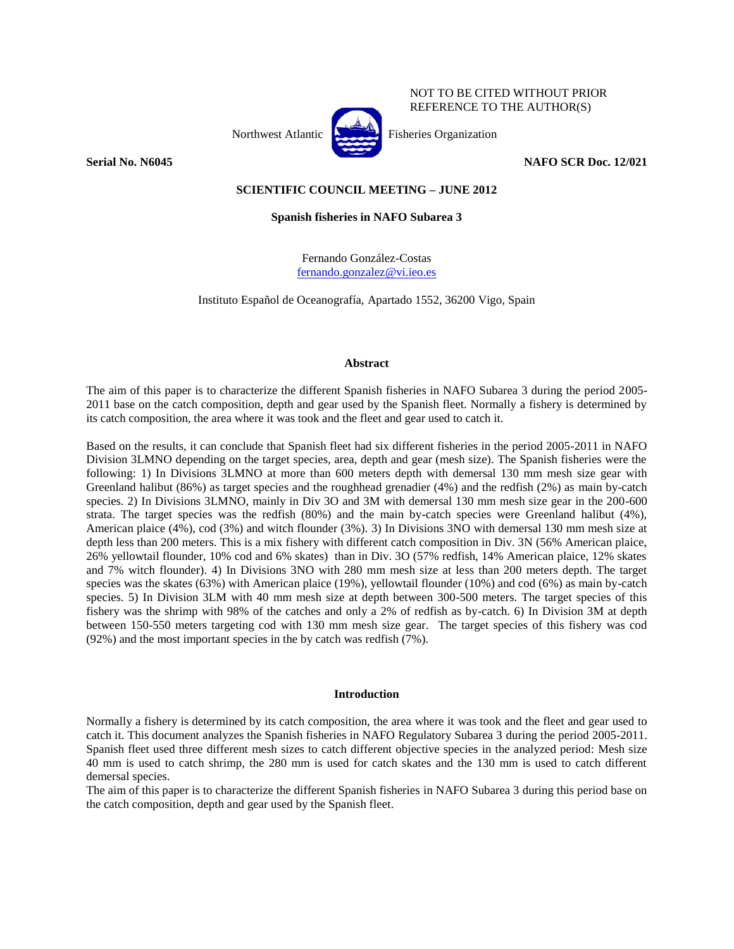

NOT TO BE CITED WITHOUT PRIOR REFERENCE TO THE AUTHOR(S)

**Serial No. N6045 NAFO SCR Doc. 12/021**

# **SCIENTIFIC COUNCIL MEETING – JUNE 2012**

### **Spanish fisheries in NAFO Subarea 3**

Fernando González-Costas [fernando.gonzalez@vi.ieo.es](mailto:fernando.gonzalez@vi.ieo.es)

Instituto Español de Oceanografía, Apartado 1552, 36200 Vigo, Spain

#### **Abstract**

The aim of this paper is to characterize the different Spanish fisheries in NAFO Subarea 3 during the period 2005- 2011 base on the catch composition, depth and gear used by the Spanish fleet. Normally a fishery is determined by its catch composition, the area where it was took and the fleet and gear used to catch it.

Based on the results, it can conclude that Spanish fleet had six different fisheries in the period 2005-2011 in NAFO Division 3LMNO depending on the target species, area, depth and gear (mesh size). The Spanish fisheries were the following: 1) In Divisions 3LMNO at more than 600 meters depth with demersal 130 mm mesh size gear with Greenland halibut (86%) as target species and the roughhead grenadier (4%) and the redfish (2%) as main by-catch species. 2) In Divisions 3LMNO, mainly in Div 3O and 3M with demersal 130 mm mesh size gear in the 200-600 strata. The target species was the redfish (80%) and the main by-catch species were Greenland halibut (4%), American plaice (4%), cod (3%) and witch flounder (3%). 3) In Divisions 3NO with demersal 130 mm mesh size at depth less than 200 meters. This is a mix fishery with different catch composition in Div. 3N (56% American plaice, 26% yellowtail flounder, 10% cod and 6% skates) than in Div. 3O (57% redfish, 14% American plaice, 12% skates and 7% witch flounder). 4) In Divisions 3NO with 280 mm mesh size at less than 200 meters depth. The target species was the skates (63%) with American plaice (19%), yellowtail flounder (10%) and cod (6%) as main by-catch species. 5) In Division 3LM with 40 mm mesh size at depth between 300-500 meters. The target species of this fishery was the shrimp with 98% of the catches and only a 2% of redfish as by-catch. 6) In Division 3M at depth between 150-550 meters targeting cod with 130 mm mesh size gear. The target species of this fishery was cod (92%) and the most important species in the by catch was redfish (7%).

### **Introduction**

Normally a fishery is determined by its catch composition, the area where it was took and the fleet and gear used to catch it. This document analyzes the Spanish fisheries in NAFO Regulatory Subarea 3 during the period 2005-2011. Spanish fleet used three different mesh sizes to catch different objective species in the analyzed period: Mesh size 40 mm is used to catch shrimp, the 280 mm is used for catch skates and the 130 mm is used to catch different demersal species.

The aim of this paper is to characterize the different Spanish fisheries in NAFO Subarea 3 during this period base on the catch composition, depth and gear used by the Spanish fleet.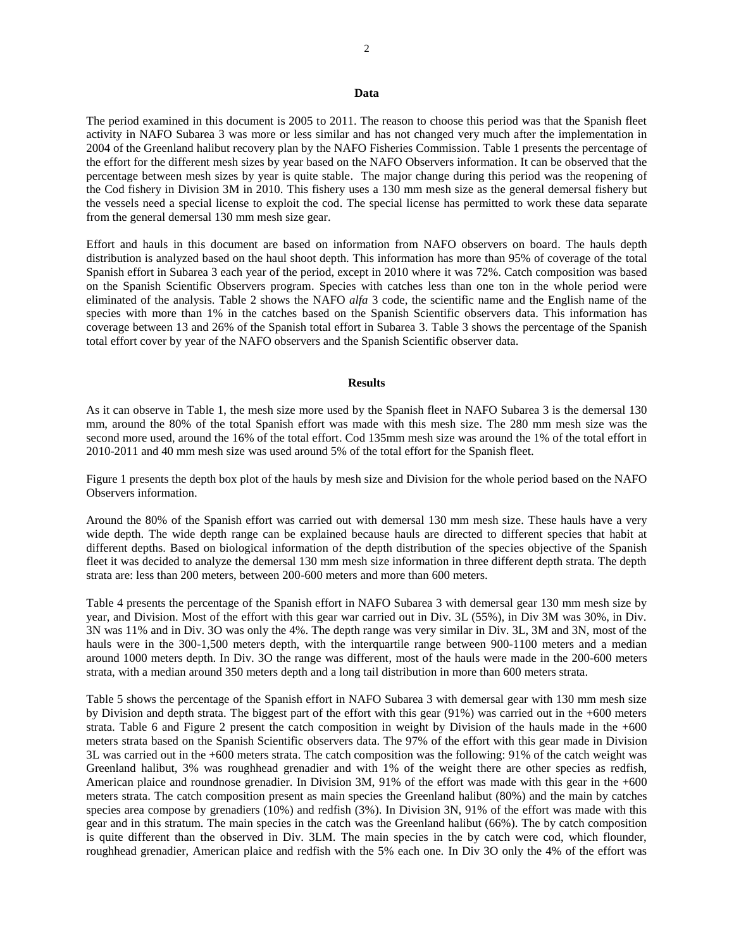#### **Data**

The period examined in this document is 2005 to 2011. The reason to choose this period was that the Spanish fleet activity in NAFO Subarea 3 was more or less similar and has not changed very much after the implementation in 2004 of the Greenland halibut recovery plan by the NAFO Fisheries Commission. Table 1 presents the percentage of the effort for the different mesh sizes by year based on the NAFO Observers information. It can be observed that the percentage between mesh sizes by year is quite stable. The major change during this period was the reopening of the Cod fishery in Division 3M in 2010. This fishery uses a 130 mm mesh size as the general demersal fishery but the vessels need a special license to exploit the cod. The special license has permitted to work these data separate from the general demersal 130 mm mesh size gear.

Effort and hauls in this document are based on information from NAFO observers on board. The hauls depth distribution is analyzed based on the haul shoot depth. This information has more than 95% of coverage of the total Spanish effort in Subarea 3 each year of the period, except in 2010 where it was 72%. Catch composition was based on the Spanish Scientific Observers program. Species with catches less than one ton in the whole period were eliminated of the analysis. Table 2 shows the NAFO *alfa* 3 code, the scientific name and the English name of the species with more than 1% in the catches based on the Spanish Scientific observers data. This information has coverage between 13 and 26% of the Spanish total effort in Subarea 3. Table 3 shows the percentage of the Spanish total effort cover by year of the NAFO observers and the Spanish Scientific observer data.

#### **Results**

As it can observe in Table 1, the mesh size more used by the Spanish fleet in NAFO Subarea 3 is the demersal 130 mm, around the 80% of the total Spanish effort was made with this mesh size. The 280 mm mesh size was the second more used, around the 16% of the total effort. Cod 135mm mesh size was around the 1% of the total effort in 2010-2011 and 40 mm mesh size was used around 5% of the total effort for the Spanish fleet.

Figure 1 presents the depth box plot of the hauls by mesh size and Division for the whole period based on the NAFO Observers information.

Around the 80% of the Spanish effort was carried out with demersal 130 mm mesh size. These hauls have a very wide depth. The wide depth range can be explained because hauls are directed to different species that habit at different depths. Based on biological information of the depth distribution of the species objective of the Spanish fleet it was decided to analyze the demersal 130 mm mesh size information in three different depth strata. The depth strata are: less than 200 meters, between 200-600 meters and more than 600 meters.

Table 4 presents the percentage of the Spanish effort in NAFO Subarea 3 with demersal gear 130 mm mesh size by year, and Division. Most of the effort with this gear war carried out in Div. 3L (55%), in Div 3M was 30%, in Div. 3N was 11% and in Div. 3O was only the 4%. The depth range was very similar in Div. 3L, 3M and 3N, most of the hauls were in the 300-1,500 meters depth, with the interquartile range between 900-1100 meters and a median around 1000 meters depth. In Div. 3O the range was different, most of the hauls were made in the 200-600 meters strata, with a median around 350 meters depth and a long tail distribution in more than 600 meters strata.

Table 5 shows the percentage of the Spanish effort in NAFO Subarea 3 with demersal gear with 130 mm mesh size by Division and depth strata. The biggest part of the effort with this gear (91%) was carried out in the +600 meters strata. Table 6 and Figure 2 present the catch composition in weight by Division of the hauls made in the +600 meters strata based on the Spanish Scientific observers data. The 97% of the effort with this gear made in Division 3L was carried out in the +600 meters strata. The catch composition was the following: 91% of the catch weight was Greenland halibut, 3% was roughhead grenadier and with 1% of the weight there are other species as redfish, American plaice and roundnose grenadier. In Division 3M, 91% of the effort was made with this gear in the +600 meters strata. The catch composition present as main species the Greenland halibut (80%) and the main by catches species area compose by grenadiers (10%) and redfish (3%). In Division 3N, 91% of the effort was made with this gear and in this stratum. The main species in the catch was the Greenland halibut (66%). The by catch composition is quite different than the observed in Div. 3LM. The main species in the by catch were cod, which flounder, roughhead grenadier, American plaice and redfish with the 5% each one. In Div 3O only the 4% of the effort was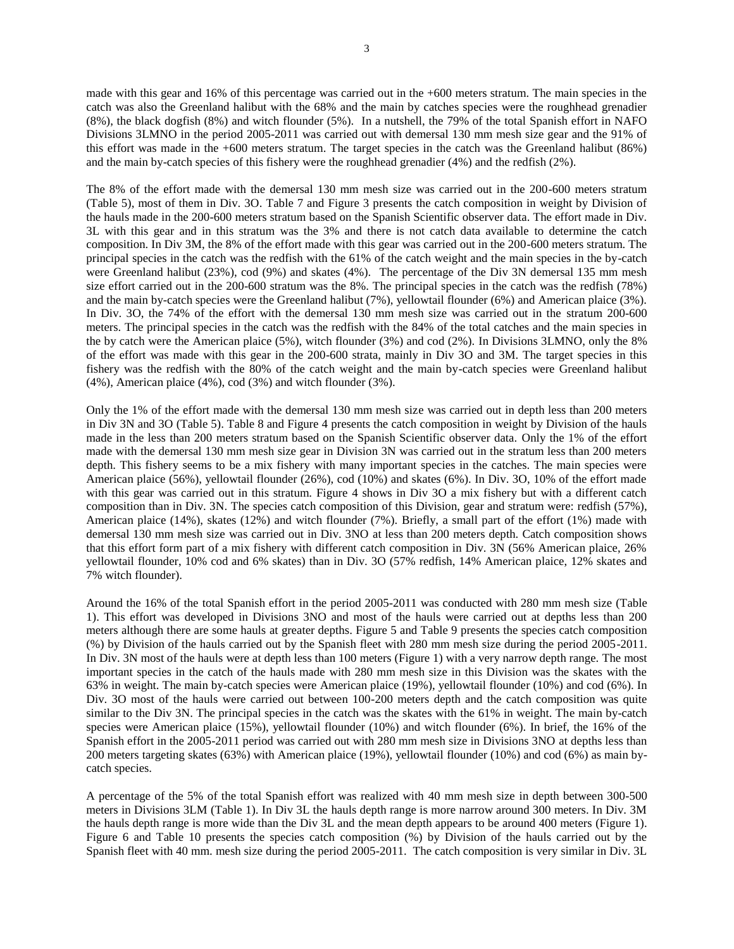made with this gear and 16% of this percentage was carried out in the +600 meters stratum. The main species in the catch was also the Greenland halibut with the 68% and the main by catches species were the roughhead grenadier (8%), the black dogfish (8%) and witch flounder (5%). In a nutshell, the 79% of the total Spanish effort in NAFO Divisions 3LMNO in the period 2005-2011 was carried out with demersal 130 mm mesh size gear and the 91% of this effort was made in the +600 meters stratum. The target species in the catch was the Greenland halibut (86%) and the main by-catch species of this fishery were the roughhead grenadier (4%) and the redfish (2%).

The 8% of the effort made with the demersal 130 mm mesh size was carried out in the 200-600 meters stratum (Table 5), most of them in Div. 3O. Table 7 and Figure 3 presents the catch composition in weight by Division of the hauls made in the 200-600 meters stratum based on the Spanish Scientific observer data. The effort made in Div. 3L with this gear and in this stratum was the 3% and there is not catch data available to determine the catch composition. In Div 3M, the 8% of the effort made with this gear was carried out in the 200-600 meters stratum. The principal species in the catch was the redfish with the 61% of the catch weight and the main species in the by-catch were Greenland halibut (23%), cod (9%) and skates (4%). The percentage of the Div 3N demersal 135 mm mesh size effort carried out in the 200-600 stratum was the 8%. The principal species in the catch was the redfish (78%) and the main by-catch species were the Greenland halibut (7%), yellowtail flounder (6%) and American plaice (3%). In Div. 3O, the 74% of the effort with the demersal 130 mm mesh size was carried out in the stratum 200-600 meters. The principal species in the catch was the redfish with the 84% of the total catches and the main species in the by catch were the American plaice (5%), witch flounder (3%) and cod (2%). In Divisions 3LMNO, only the 8% of the effort was made with this gear in the 200-600 strata, mainly in Div 3O and 3M. The target species in this fishery was the redfish with the 80% of the catch weight and the main by-catch species were Greenland halibut (4%), American plaice (4%), cod (3%) and witch flounder (3%).

Only the 1% of the effort made with the demersal 130 mm mesh size was carried out in depth less than 200 meters in Div 3N and 3O (Table 5). Table 8 and Figure 4 presents the catch composition in weight by Division of the hauls made in the less than 200 meters stratum based on the Spanish Scientific observer data. Only the 1% of the effort made with the demersal 130 mm mesh size gear in Division 3N was carried out in the stratum less than 200 meters depth. This fishery seems to be a mix fishery with many important species in the catches. The main species were American plaice (56%), yellowtail flounder (26%), cod (10%) and skates (6%). In Div. 3O, 10% of the effort made with this gear was carried out in this stratum. Figure 4 shows in Div 3O a mix fishery but with a different catch composition than in Div. 3N. The species catch composition of this Division, gear and stratum were: redfish (57%), American plaice (14%), skates (12%) and witch flounder (7%). Briefly, a small part of the effort (1%) made with demersal 130 mm mesh size was carried out in Div. 3NO at less than 200 meters depth. Catch composition shows that this effort form part of a mix fishery with different catch composition in Div. 3N (56% American plaice, 26% yellowtail flounder, 10% cod and 6% skates) than in Div. 3O (57% redfish, 14% American plaice, 12% skates and 7% witch flounder).

Around the 16% of the total Spanish effort in the period 2005-2011 was conducted with 280 mm mesh size (Table 1). This effort was developed in Divisions 3NO and most of the hauls were carried out at depths less than 200 meters although there are some hauls at greater depths. Figure 5 and Table 9 presents the species catch composition (%) by Division of the hauls carried out by the Spanish fleet with 280 mm mesh size during the period 2005-2011. In Div. 3N most of the hauls were at depth less than 100 meters (Figure 1) with a very narrow depth range. The most important species in the catch of the hauls made with 280 mm mesh size in this Division was the skates with the 63% in weight. The main by-catch species were American plaice (19%), yellowtail flounder (10%) and cod (6%). In Div. 3O most of the hauls were carried out between 100-200 meters depth and the catch composition was quite similar to the Div 3N. The principal species in the catch was the skates with the 61% in weight. The main by-catch species were American plaice (15%), yellowtail flounder (10%) and witch flounder (6%). In brief, the 16% of the Spanish effort in the 2005-2011 period was carried out with 280 mm mesh size in Divisions 3NO at depths less than 200 meters targeting skates (63%) with American plaice (19%), yellowtail flounder (10%) and cod (6%) as main bycatch species.

A percentage of the 5% of the total Spanish effort was realized with 40 mm mesh size in depth between 300-500 meters in Divisions 3LM (Table 1). In Div 3L the hauls depth range is more narrow around 300 meters. In Div. 3M the hauls depth range is more wide than the Div 3L and the mean depth appears to be around 400 meters (Figure 1). Figure 6 and Table 10 presents the species catch composition (%) by Division of the hauls carried out by the Spanish fleet with 40 mm. mesh size during the period 2005-2011. The catch composition is very similar in Div. 3L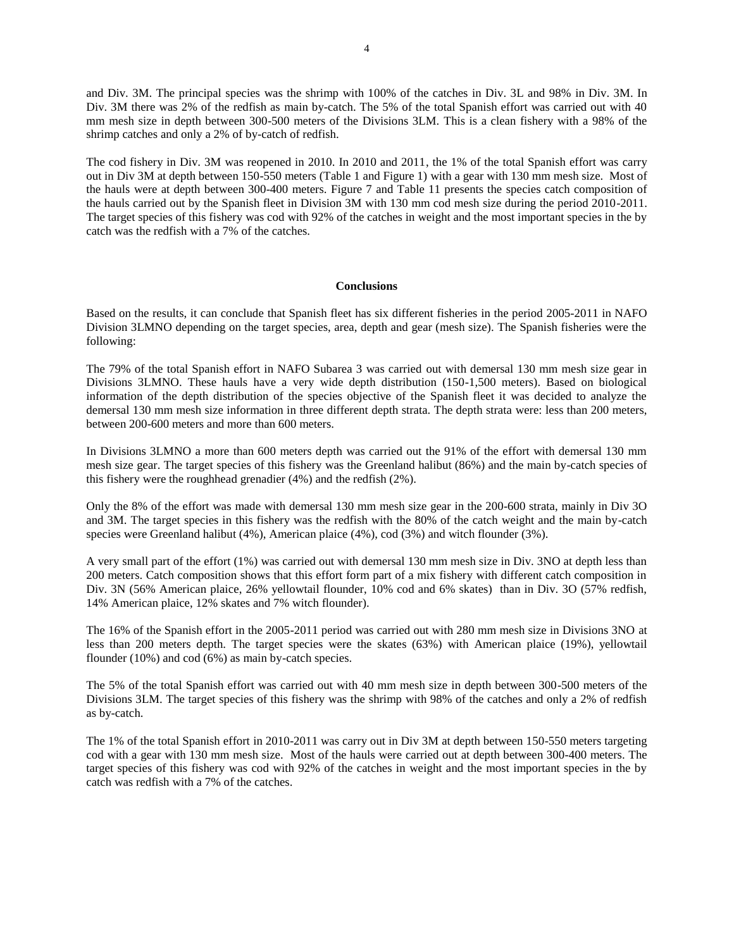and Div. 3M. The principal species was the shrimp with 100% of the catches in Div. 3L and 98% in Div. 3M. In Div. 3M there was 2% of the redfish as main by-catch. The 5% of the total Spanish effort was carried out with 40 mm mesh size in depth between 300-500 meters of the Divisions 3LM. This is a clean fishery with a 98% of the shrimp catches and only a 2% of by-catch of redfish.

The cod fishery in Div. 3M was reopened in 2010. In 2010 and 2011, the 1% of the total Spanish effort was carry out in Div 3M at depth between 150-550 meters (Table 1 and Figure 1) with a gear with 130 mm mesh size. Most of the hauls were at depth between 300-400 meters. Figure 7 and Table 11 presents the species catch composition of the hauls carried out by the Spanish fleet in Division 3M with 130 mm cod mesh size during the period 2010-2011. The target species of this fishery was cod with 92% of the catches in weight and the most important species in the by catch was the redfish with a 7% of the catches.

## **Conclusions**

Based on the results, it can conclude that Spanish fleet has six different fisheries in the period 2005-2011 in NAFO Division 3LMNO depending on the target species, area, depth and gear (mesh size). The Spanish fisheries were the following:

The 79% of the total Spanish effort in NAFO Subarea 3 was carried out with demersal 130 mm mesh size gear in Divisions 3LMNO. These hauls have a very wide depth distribution (150-1,500 meters). Based on biological information of the depth distribution of the species objective of the Spanish fleet it was decided to analyze the demersal 130 mm mesh size information in three different depth strata. The depth strata were: less than 200 meters, between 200-600 meters and more than 600 meters.

In Divisions 3LMNO a more than 600 meters depth was carried out the 91% of the effort with demersal 130 mm mesh size gear. The target species of this fishery was the Greenland halibut (86%) and the main by-catch species of this fishery were the roughhead grenadier (4%) and the redfish (2%).

Only the 8% of the effort was made with demersal 130 mm mesh size gear in the 200-600 strata, mainly in Div 3O and 3M. The target species in this fishery was the redfish with the 80% of the catch weight and the main by-catch species were Greenland halibut (4%), American plaice (4%), cod (3%) and witch flounder (3%).

A very small part of the effort (1%) was carried out with demersal 130 mm mesh size in Div. 3NO at depth less than 200 meters. Catch composition shows that this effort form part of a mix fishery with different catch composition in Div. 3N (56% American plaice, 26% yellowtail flounder, 10% cod and 6% skates) than in Div. 3O (57% redfish, 14% American plaice, 12% skates and 7% witch flounder).

The 16% of the Spanish effort in the 2005-2011 period was carried out with 280 mm mesh size in Divisions 3NO at less than 200 meters depth. The target species were the skates (63%) with American plaice (19%), yellowtail flounder (10%) and cod (6%) as main by-catch species.

The 5% of the total Spanish effort was carried out with 40 mm mesh size in depth between 300-500 meters of the Divisions 3LM. The target species of this fishery was the shrimp with 98% of the catches and only a 2% of redfish as by-catch.

The 1% of the total Spanish effort in 2010-2011 was carry out in Div 3M at depth between 150-550 meters targeting cod with a gear with 130 mm mesh size. Most of the hauls were carried out at depth between 300-400 meters. The target species of this fishery was cod with 92% of the catches in weight and the most important species in the by catch was redfish with a 7% of the catches.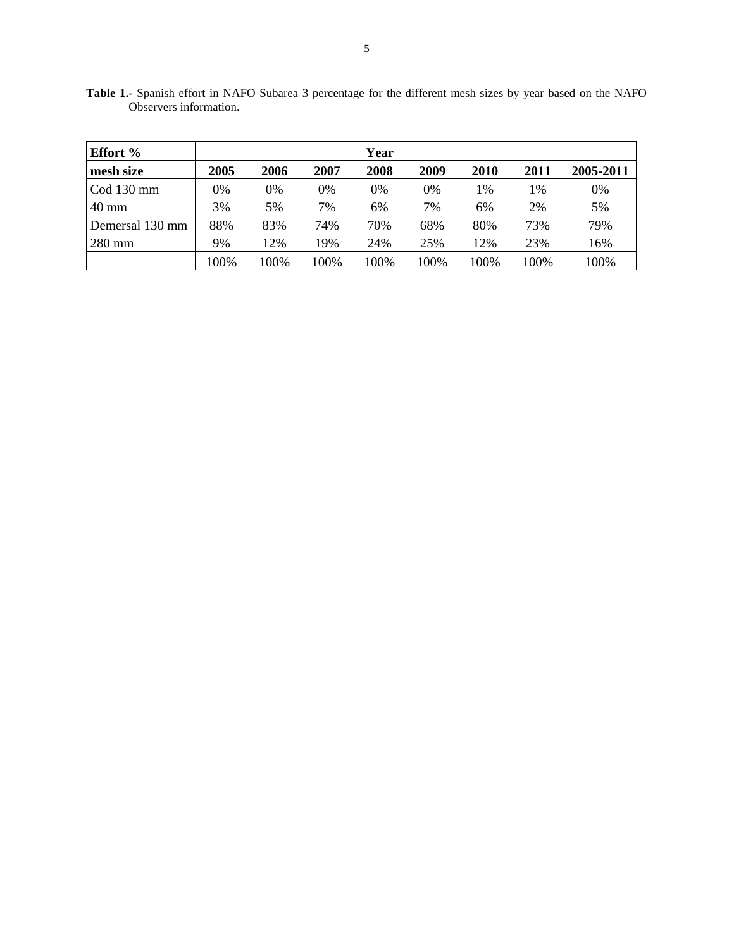| <b>Effort</b> % |      |      |      | Year |      |      |      |           |
|-----------------|------|------|------|------|------|------|------|-----------|
| mesh size       | 2005 | 2006 | 2007 | 2008 | 2009 | 2010 | 2011 | 2005-2011 |
| $Cod 130$ mm    | 0%   | 0%   | 0%   | 0%   | 0%   | 1%   | 1%   | 0%        |
| $40 \text{ mm}$ | 3%   | 5%   | 7%   | 6%   | 7%   | 6%   | 2%   | 5%        |
| Demersal 130 mm | 88%  | 83%  | 74%  | 70%  | 68%  | 80%  | 73%  | 79%       |
| $280$ mm        | 9%   | 12%  | 19%  | 24%  | 25%  | 12%  | 23%  | 16%       |
|                 | 100% | 100% | 100% | 100% | 100% | 100% | 100% | 100%      |

**Table 1.-** Spanish effort in NAFO Subarea 3 percentage for the different mesh sizes by year based on the NAFO Observers information.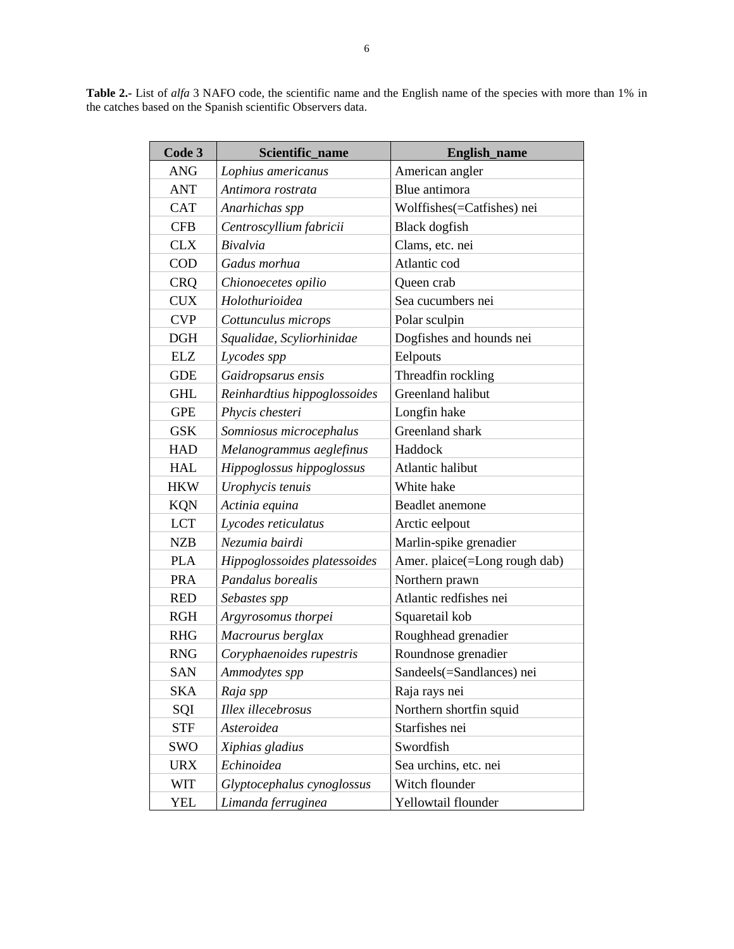**Table 2.-** List of *alfa* 3 NAFO code, the scientific name and the English name of the species with more than 1% in the catches based on the Spanish scientific Observers data.

| Code 3     | Scientific_name              | English_name                  |  |
|------------|------------------------------|-------------------------------|--|
| <b>ANG</b> | Lophius americanus           | American angler               |  |
| <b>ANT</b> | Antimora rostrata            | Blue antimora                 |  |
| <b>CAT</b> | Anarhichas spp               | Wolffishes(=Catfishes) nei    |  |
| <b>CFB</b> | Centroscyllium fabricii      | <b>Black</b> dogfish          |  |
| <b>CLX</b> | Bivalvia                     | Clams, etc. nei               |  |
| <b>COD</b> | Gadus morhua                 | Atlantic cod                  |  |
| <b>CRQ</b> | Chionoecetes opilio          | Queen crab                    |  |
| <b>CUX</b> | Holothurioidea               | Sea cucumbers nei             |  |
| <b>CVP</b> | Cottunculus microps          | Polar sculpin                 |  |
| DGH        | Squalidae, Scyliorhinidae    | Dogfishes and hounds nei      |  |
| <b>ELZ</b> | Lycodes spp                  | Eelpouts                      |  |
| <b>GDE</b> | Gaidropsarus ensis           | Threadfin rockling            |  |
| <b>GHL</b> | Reinhardtius hippoglossoides | Greenland halibut             |  |
| <b>GPE</b> | Phycis chesteri              | Longfin hake                  |  |
| <b>GSK</b> | Somniosus microcephalus      | Greenland shark               |  |
| <b>HAD</b> | Melanogrammus aeglefinus     | Haddock                       |  |
| <b>HAL</b> | Hippoglossus hippoglossus    | Atlantic halibut              |  |
| <b>HKW</b> | Urophycis tenuis             | White hake                    |  |
| <b>KQN</b> | Actinia equina               | Beadlet anemone               |  |
| <b>LCT</b> | Lycodes reticulatus          | Arctic eelpout                |  |
| <b>NZB</b> | Nezumia bairdi               | Marlin-spike grenadier        |  |
| <b>PLA</b> | Hippoglossoides platessoides | Amer. plaice(=Long rough dab) |  |
| <b>PRA</b> | Pandalus borealis            | Northern prawn                |  |
| <b>RED</b> | Sebastes spp                 | Atlantic redfishes nei        |  |
| <b>RGH</b> | Argyrosomus thorpei          | Squaretail kob                |  |
| <b>RHG</b> | Macrourus berglax            | Roughhead grenadier           |  |
| <b>RNG</b> | Coryphaenoides rupestris     | Roundnose grenadier           |  |
| <b>SAN</b> | Ammodytes spp                | Sandeels(=Sandlances) nei     |  |
| SKA        | Raja spp                     | Raja rays nei                 |  |
| SQI        | Illex illecebrosus           | Northern shortfin squid       |  |
| <b>STF</b> | Asteroidea                   | Starfishes nei                |  |
| SWO        | Xiphias gladius              | Swordfish                     |  |
| <b>URX</b> | Echinoidea                   | Sea urchins, etc. nei         |  |
| <b>WIT</b> | Glyptocephalus cynoglossus   | Witch flounder                |  |
| YEL        | Limanda ferruginea           | Yellowtail flounder           |  |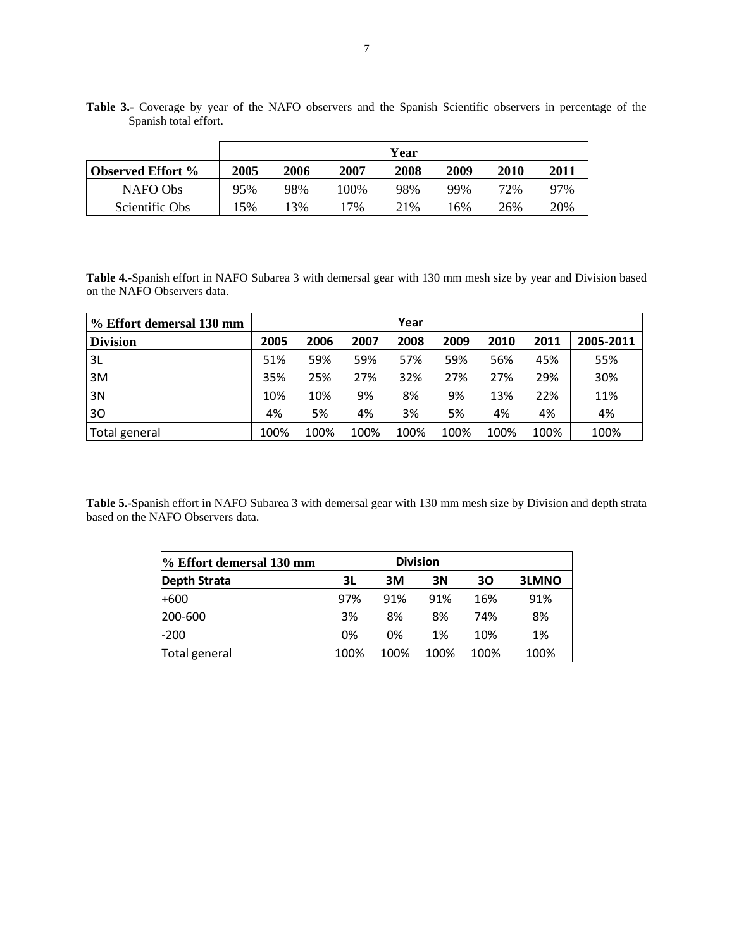|                          |      |      |      | Year |      |      |      |
|--------------------------|------|------|------|------|------|------|------|
| <b>Observed Effort %</b> | 2005 | 2006 | 2007 | 2008 | 2009 | 2010 | 2011 |
| NAFO Obs                 | 95%  | 98%  | 100% | 98%  | 99%  | 72%  | 97%  |
| Scientific Obs           | 5%   | 3%   | 7%   | 21\% | 6%   | 26%  | 20%  |

**Table 3.-** Coverage by year of the NAFO observers and the Spanish Scientific observers in percentage of the Spanish total effort.

**Table 4.-**Spanish effort in NAFO Subarea 3 with demersal gear with 130 mm mesh size by year and Division based on the NAFO Observers data.

| % Effort demersal 130 mm |      |      |      | Year |      |      |      |           |
|--------------------------|------|------|------|------|------|------|------|-----------|
| <b>Division</b>          | 2005 | 2006 | 2007 | 2008 | 2009 | 2010 | 2011 | 2005-2011 |
| 3L                       | 51%  | 59%  | 59%  | 57%  | 59%  | 56%  | 45%  | 55%       |
| 3M                       | 35%  | 25%  | 27%  | 32%  | 27%  | 27%  | 29%  | 30%       |
| 3N                       | 10%  | 10%  | 9%   | 8%   | 9%   | 13%  | 22%  | 11%       |
| 30                       | 4%   | 5%   | 4%   | 3%   | 5%   | 4%   | 4%   | 4%        |
| Total general            | 100% | 100% | 100% | 100% | 100% | 100% | 100% | 100%      |

**Table 5.-**Spanish effort in NAFO Subarea 3 with demersal gear with 130 mm mesh size by Division and depth strata based on the NAFO Observers data.

| % Effort demersal 130 mm |      |      | <b>Division</b> |      |       |
|--------------------------|------|------|-----------------|------|-------|
| <b>Depth Strata</b>      | 3L   | ЗM   | 3N              | 30   | 3LMNO |
| $+600$                   | 97%  | 91%  | 91%             | 16%  | 91%   |
| 200-600                  | 3%   | 8%   | 8%              | 74%  | 8%    |
| $-200$                   | 0%   | 0%   | 1%              | 10%  | 1%    |
| Total general            | 100% | 100% | 100%            | 100% | 100%  |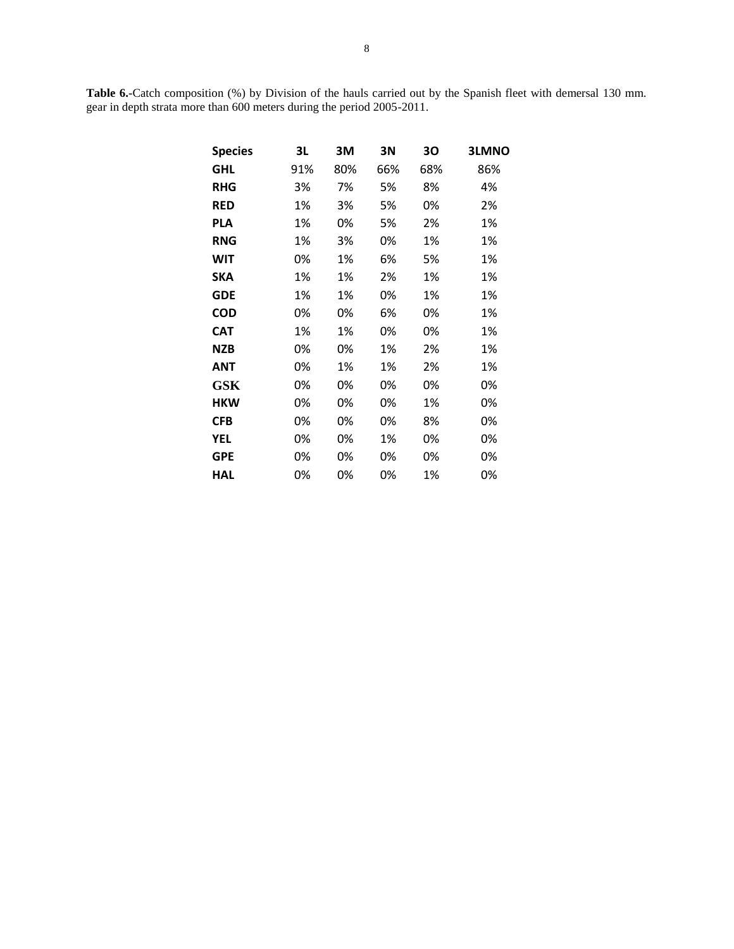**Table 6.-**Catch composition (%) by Division of the hauls carried out by the Spanish fleet with demersal 130 mm. gear in depth strata more than 600 meters during the period 2005-2011.

| <b>Species</b> | 3L  | 3M  | 3N  | 30  | <b>3LMNO</b> |
|----------------|-----|-----|-----|-----|--------------|
| GHL            | 91% | 80% | 66% | 68% | 86%          |
| <b>RHG</b>     | 3%  | 7%  | 5%  | 8%  | 4%           |
| <b>RED</b>     | 1%  | 3%  | 5%  | 0%  | 2%           |
| <b>PLA</b>     | 1%  | 0%  | 5%  | 2%  | 1%           |
| <b>RNG</b>     | 1%  | 3%  | 0%  | 1%  | 1%           |
| WIT            | 0%  | 1%  | 6%  | 5%  | 1%           |
| SKA            | 1%  | 1%  | 2%  | 1%  | 1%           |
| <b>GDE</b>     | 1%  | 1%  | 0%  | 1%  | 1%           |
| <b>COD</b>     | 0%  | 0%  | 6%  | 0%  | 1%           |
| <b>CAT</b>     | 1%  | 1%  | 0%  | 0%  | 1%           |
| <b>NZB</b>     | 0%  | 0%  | 1%  | 2%  | 1%           |
| ANT            | 0%  | 1%  | 1%  | 2%  | 1%           |
| <b>GSK</b>     | 0%  | 0%  | 0%  | 0%  | 0%           |
| <b>HKW</b>     | 0%  | 0%  | 0%  | 1%  | 0%           |
| <b>CFB</b>     | 0%  | 0%  | 0%  | 8%  | 0%           |
| YEL            | 0%  | 0%  | 1%  | 0%  | 0%           |
| <b>GPE</b>     | 0%  | 0%  | 0%  | 0%  | 0%           |
| HAL            | 0%  | 0%  | 0%  | 1%  | 0%           |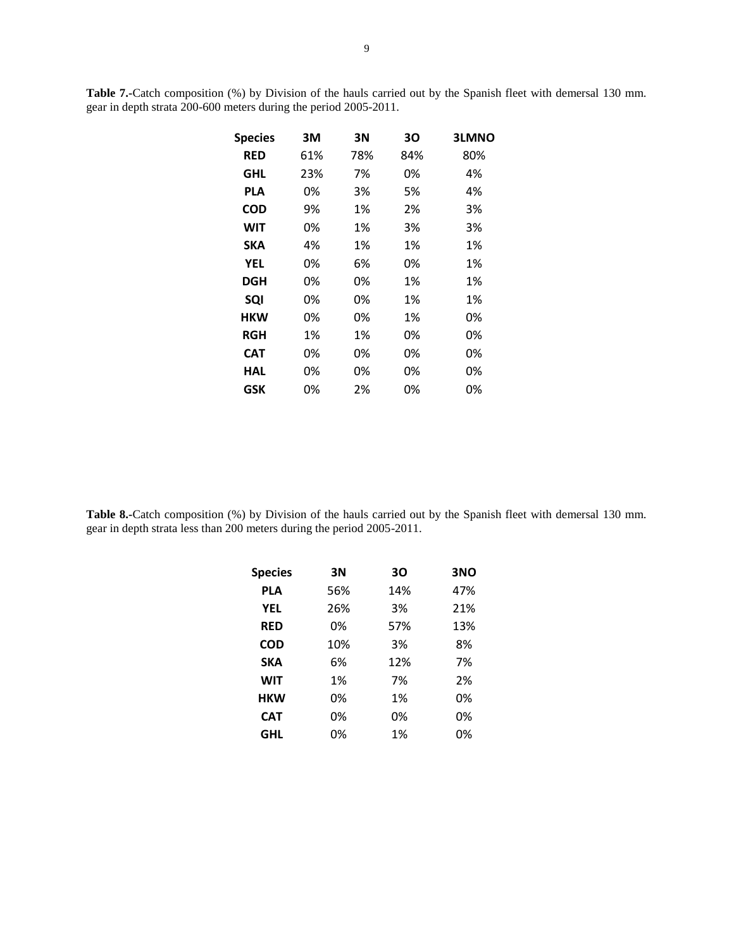**Table 7.-**Catch composition (%) by Division of the hauls carried out by the Spanish fleet with demersal 130 mm. gear in depth strata 200-600 meters during the period 2005-2011.

| <b>Species</b> | 3M  | 3N  | 30  | <b>3LMNO</b> |
|----------------|-----|-----|-----|--------------|
| <b>RED</b>     | 61% | 78% | 84% | 80%          |
| <b>GHL</b>     | 23% | 7%  | 0%  | 4%           |
| PLA            | 0%  | 3%  | 5%  | 4%           |
| <b>COD</b>     | 9%  | 1%  | 2%  | 3%           |
| WIT            | 0%  | 1%  | 3%  | 3%           |
| SKA            | 4%  | 1%  | 1%  | 1%           |
| YEL            | 0%  | 6%  | 0%  | 1%           |
| <b>DGH</b>     | 0%  | 0%  | 1%  | 1%           |
| SQI            | 0%  | 0%  | 1%  | 1%           |
| <b>HKW</b>     | 0%  | 0%  | 1%  | 0%           |
| <b>RGH</b>     | 1%  | 1%  | 0%  | 0%           |
| <b>CAT</b>     | 0%  | 0%  | 0%  | 0%           |
| HAL            | 0%  | 0%  | 0%  | 0%           |
| GSK            | 0%  | 2%  | 0%  | 0%           |

**Table 8.-**Catch composition (%) by Division of the hauls carried out by the Spanish fleet with demersal 130 mm. gear in depth strata less than 200 meters during the period 2005-2011.

| <b>Species</b> | 3N  | 30  | 3NO |
|----------------|-----|-----|-----|
| <b>PLA</b>     | 56% | 14% | 47% |
| <b>YEL</b>     | 26% | 3%  | 21% |
| <b>RED</b>     | 0%  | 57% | 13% |
| COD            | 10% | 3%  | 8%  |
| <b>SKA</b>     | 6%  | 12% | 7%  |
| <b>WIT</b>     | 1%  | 7%  | 2%  |
| <b>HKW</b>     | 0%  | 1%  | 0%  |
| <b>CAT</b>     | 0%  | 0%  | 0%  |
| GHL            | 0%  | 1%  | 0%  |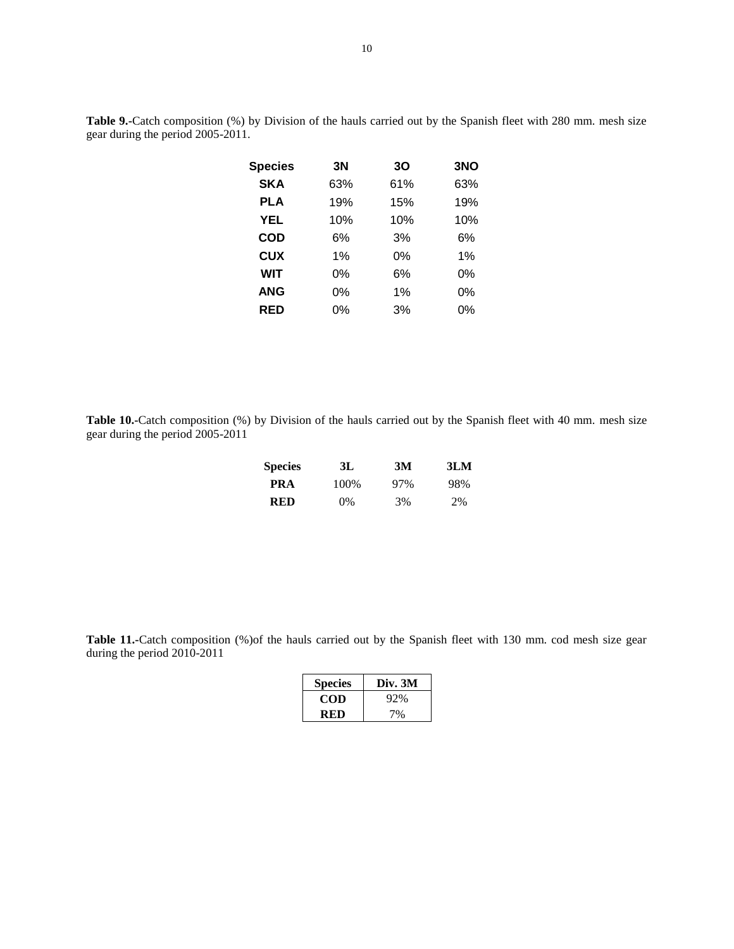| <b>Species</b> | 3Ν  | 30  | 3NO |
|----------------|-----|-----|-----|
| <b>SKA</b>     | 63% | 61% | 63% |
| <b>PLA</b>     | 19% | 15% | 19% |
| <b>YEL</b>     | 10% | 10% | 10% |
| <b>COD</b>     | 6%  | 3%  | 6%  |
| <b>CUX</b>     | 1%  | 0%  | 1%  |
| <b>WIT</b>     | 0%  | 6%  | 0%  |
| <b>ANG</b>     | 0%  | 1%  | 0%  |
| RED            | 0%  | 3%  | 0%  |

**Table 9.-**Catch composition (%) by Division of the hauls carried out by the Spanish fleet with 280 mm. mesh size gear during the period 2005-2011.

**Table 10.-**Catch composition (%) by Division of the hauls carried out by the Spanish fleet with 40 mm. mesh size gear during the period 2005-2011

| <b>Species</b> | 3L    | 3M  | 3LM |
|----------------|-------|-----|-----|
| PRA            | 100%  | 97% | 98% |
| RED            | $0\%$ | 3%  | 2%  |

**Table 11.-**Catch composition (%)of the hauls carried out by the Spanish fleet with 130 mm. cod mesh size gear during the period 2010-2011

| <b>Species</b> | Div. 3M |
|----------------|---------|
| COD            | 92%     |
| RED            | 7%      |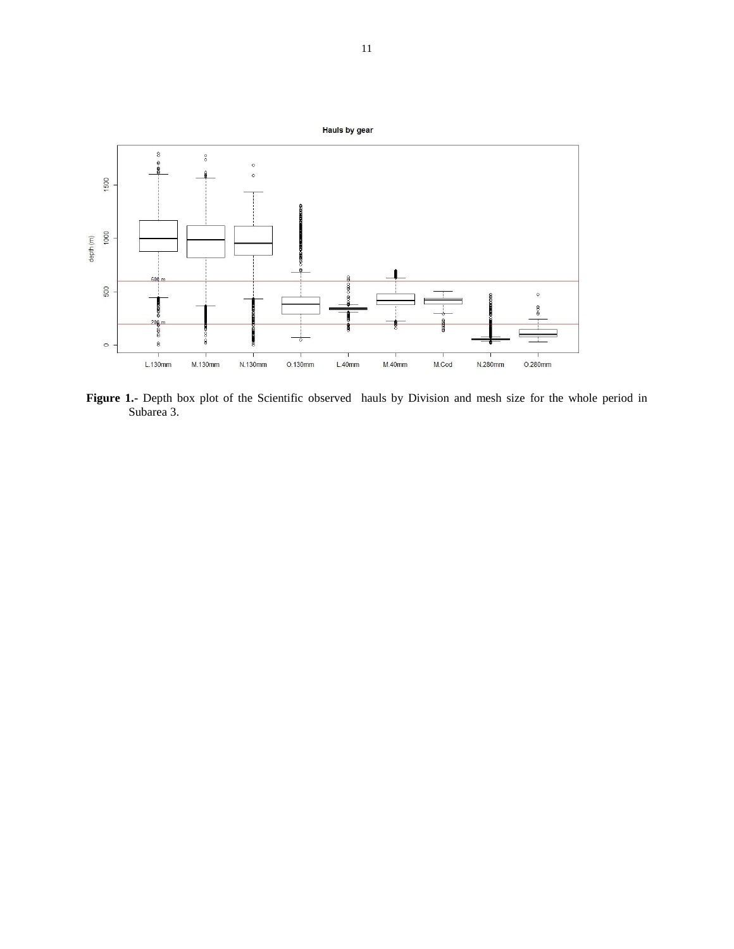

Figure 1.- Depth box plot of the Scientific observed hauls by Division and mesh size for the whole period in Subarea 3.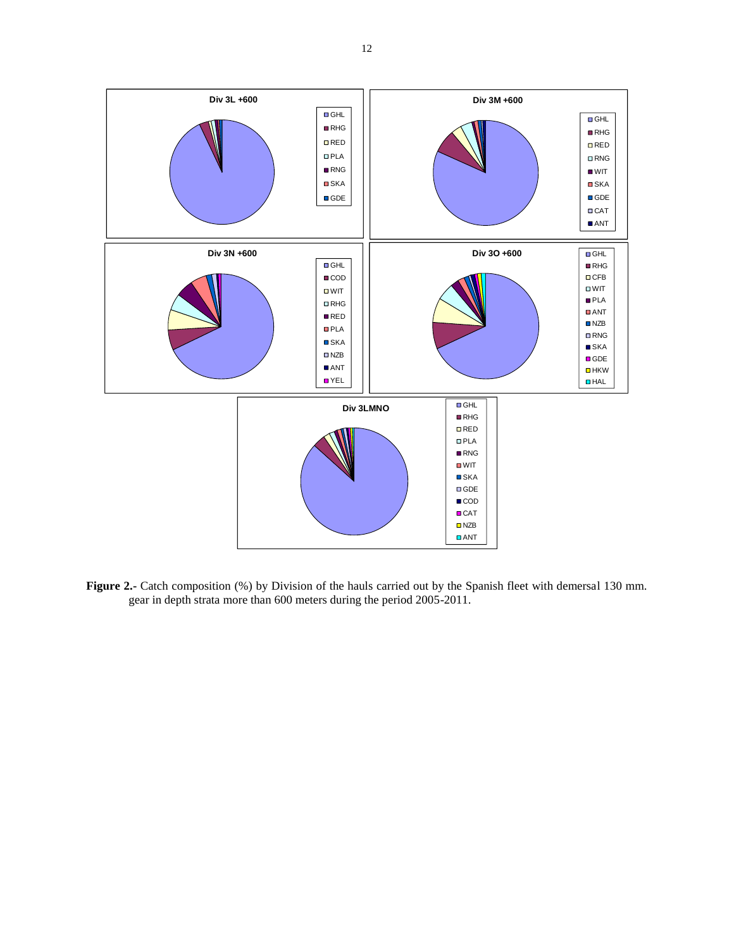

**Figure 2.-** Catch composition (%) by Division of the hauls carried out by the Spanish fleet with demersal 130 mm. gear in depth strata more than 600 meters during the period 2005-2011.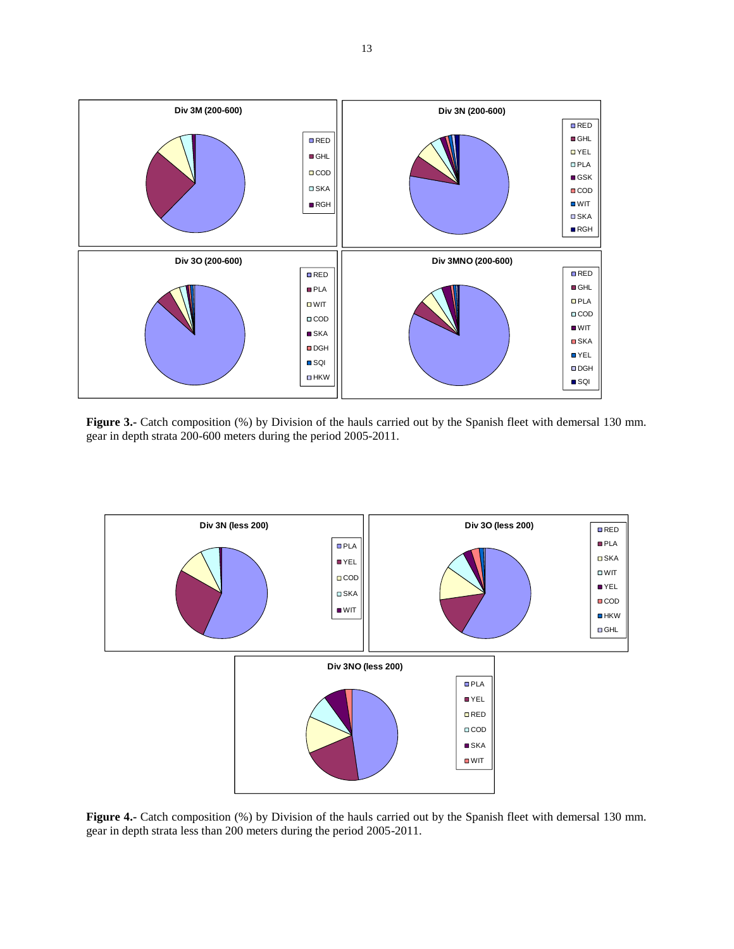

**Figure 3.-** Catch composition (%) by Division of the hauls carried out by the Spanish fleet with demersal 130 mm. gear in depth strata 200-600 meters during the period 2005-2011.



**Figure 4.-** Catch composition (%) by Division of the hauls carried out by the Spanish fleet with demersal 130 mm. gear in depth strata less than 200 meters during the period 2005-2011.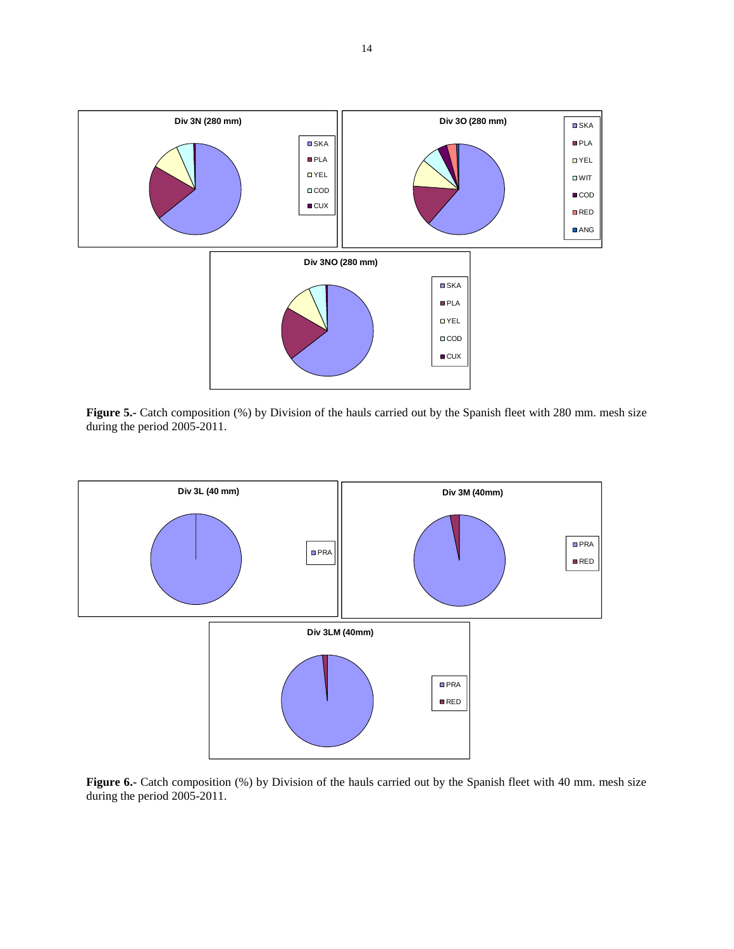

**Figure 5.-** Catch composition (%) by Division of the hauls carried out by the Spanish fleet with 280 mm. mesh size during the period 2005-2011.



**Figure 6.-** Catch composition (%) by Division of the hauls carried out by the Spanish fleet with 40 mm. mesh size during the period 2005-2011.